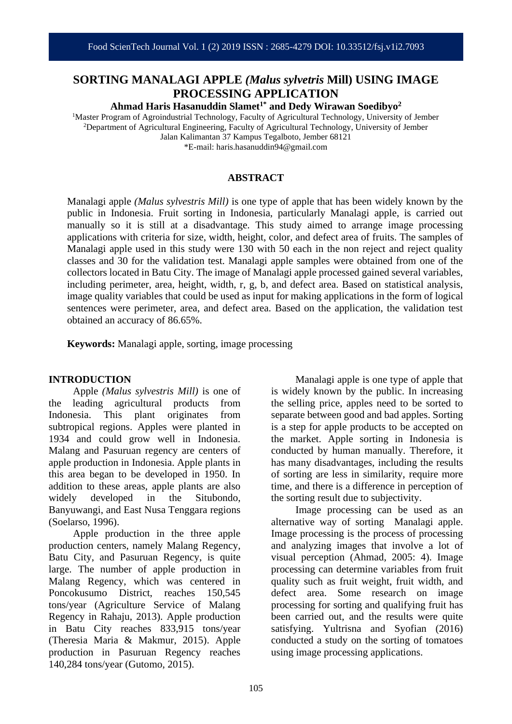# **SORTING MANALAGI APPLE** *(Malus sylvetris* **Mill) USING IMAGE PROCESSING APPLICATION**

**Ahmad Haris Hasanuddin Slamet1\* and Dedy Wirawan Soedibyo<sup>2</sup>**

<sup>1</sup>Master Program of Agroindustrial Technology, Faculty of Agricultural Technology, University of Jember <sup>2</sup>Department of Agricultural Engineering, Faculty of Agricultural Technology, University of Jember Jalan Kalimantan 37 Kampus Tegalboto, Jember 68121 \*E-mail: haris.hasanuddin94@gmail.com

## **ABSTRACT**

Manalagi apple *(Malus sylvestris Mill)* is one type of apple that has been widely known by the public in Indonesia. Fruit sorting in Indonesia, particularly Manalagi apple, is carried out manually so it is still at a disadvantage. This study aimed to arrange image processing applications with criteria for size, width, height, color, and defect area of fruits. The samples of Manalagi apple used in this study were 130 with 50 each in the non reject and reject quality classes and 30 for the validation test. Manalagi apple samples were obtained from one of the collectors located in Batu City. The image of Manalagi apple processed gained several variables, including perimeter, area, height, width, r, g, b, and defect area. Based on statistical analysis, image quality variables that could be used as input for making applications in the form of logical sentences were perimeter, area, and defect area. Based on the application, the validation test obtained an accuracy of 86.65%.

**Keywords:** Manalagi apple, sorting, image processing

## **INTRODUCTION**

Apple *(Malus sylvestris Mill)* is one of the leading agricultural products from Indonesia. This plant originates from subtropical regions. Apples were planted in 1934 and could grow well in Indonesia. Malang and Pasuruan regency are centers of apple production in Indonesia. Apple plants in this area began to be developed in 1950. In addition to these areas, apple plants are also widely developed in the Situbondo, Banyuwangi, and East Nusa Tenggara regions (Soelarso, 1996).

Apple production in the three apple production centers, namely Malang Regency, Batu City, and Pasuruan Regency, is quite large. The number of apple production in Malang Regency, which was centered in Poncokusumo District, reaches 150,545 tons/year (Agriculture Service of Malang Regency in Rahaju, 2013). Apple production in Batu City reaches 833,915 tons/year (Theresia Maria & Makmur, 2015). Apple production in Pasuruan Regency reaches 140,284 tons/year (Gutomo, 2015).

Manalagi apple is one type of apple that is widely known by the public. In increasing the selling price, apples need to be sorted to separate between good and bad apples. Sorting is a step for apple products to be accepted on the market. Apple sorting in Indonesia is conducted by human manually. Therefore, it has many disadvantages, including the results of sorting are less in similarity, require more time, and there is a difference in perception of the sorting result due to subjectivity.

Image processing can be used as an alternative way of sorting Manalagi apple. Image processing is the process of processing and analyzing images that involve a lot of visual perception (Ahmad, 2005: 4). Image processing can determine variables from fruit quality such as fruit weight, fruit width, and defect area. Some research on image processing for sorting and qualifying fruit has been carried out, and the results were quite satisfying. Yultrisna and Syofian (2016) conducted a study on the sorting of tomatoes using image processing applications.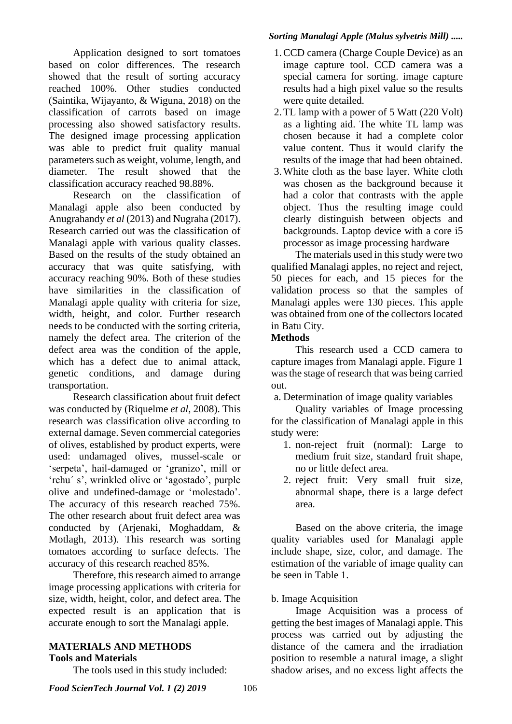Application designed to sort tomatoes based on color differences. The research showed that the result of sorting accuracy reached 100%. Other studies conducted (Saintika, Wijayanto, & Wiguna, 2018) on the classification of carrots based on image processing also showed satisfactory results. The designed image processing application was able to predict fruit quality manual parameters such as weight, volume, length, and diameter. The result showed that the classification accuracy reached 98.88%.

Research on the classification of Manalagi apple also been conducted by Anugrahandy *et al* (2013) and Nugraha (2017). Research carried out was the classification of Manalagi apple with various quality classes. Based on the results of the study obtained an accuracy that was quite satisfying, with accuracy reaching 90%. Both of these studies have similarities in the classification of Manalagi apple quality with criteria for size, width, height, and color. Further research needs to be conducted with the sorting criteria, namely the defect area. The criterion of the defect area was the condition of the apple, which has a defect due to animal attack, genetic conditions, and damage during transportation.

Research classification about fruit defect was conducted by (Riquelme *et al,* 2008). This research was classification olive according to external damage. Seven commercial categories of olives, established by product experts, were used: undamaged olives, mussel-scale or 'serpeta', hail-damaged or 'granizo', mill or 'rehu´ s', wrinkled olive or 'agostado', purple olive and undefined-damage or 'molestado'. The accuracy of this research reached 75%. The other research about fruit defect area was conducted by (Arjenaki, Moghaddam, & Motlagh, 2013). This research was sorting tomatoes according to surface defects. The accuracy of this research reached 85%.

Therefore, this research aimed to arrange image processing applications with criteria for size, width, height, color, and defect area. The expected result is an application that is accurate enough to sort the Manalagi apple.

# **MATERIALS AND METHODS Tools and Materials**

The tools used in this study included:

# *Sorting Manalagi Apple (Malus sylvetris Mill) .....*

- 1.CCD camera (Charge Couple Device) as an image capture tool. CCD camera was a special camera for sorting. image capture results had a high pixel value so the results were quite detailed.
- 2.TL lamp with a power of 5 Watt (220 Volt) as a lighting aid. The white TL lamp was chosen because it had a complete color value content. Thus it would clarify the results of the image that had been obtained.
- 3.White cloth as the base layer. White cloth was chosen as the background because it had a color that contrasts with the apple object. Thus the resulting image could clearly distinguish between objects and backgrounds. Laptop device with a core i5 processor as image processing hardware

The materials used in this study were two qualified Manalagi apples, no reject and reject, 50 pieces for each, and 15 pieces for the validation process so that the samples of Manalagi apples were 130 pieces. This apple was obtained from one of the collectors located in Batu City.

# **Methods**

This research used a CCD camera to capture images from Manalagi apple. Figure 1 was the stage of research that was being carried out.

a. Determination of image quality variables

Quality variables of Image processing for the classification of Manalagi apple in this study were:

- 1. non-reject fruit (normal): Large to medium fruit size, standard fruit shape, no or little defect area.
- 2. reject fruit: Very small fruit size, abnormal shape, there is a large defect area.

Based on the above criteria, the image quality variables used for Manalagi apple include shape, size, color, and damage. The estimation of the variable of image quality can be seen in Table 1.

# b. Image Acquisition

Image Acquisition was a process of getting the best images of Manalagi apple. This process was carried out by adjusting the distance of the camera and the irradiation position to resemble a natural image, a slight shadow arises, and no excess light affects the

*Food ScienTech Journal Vol. 1 (2) 2019* 106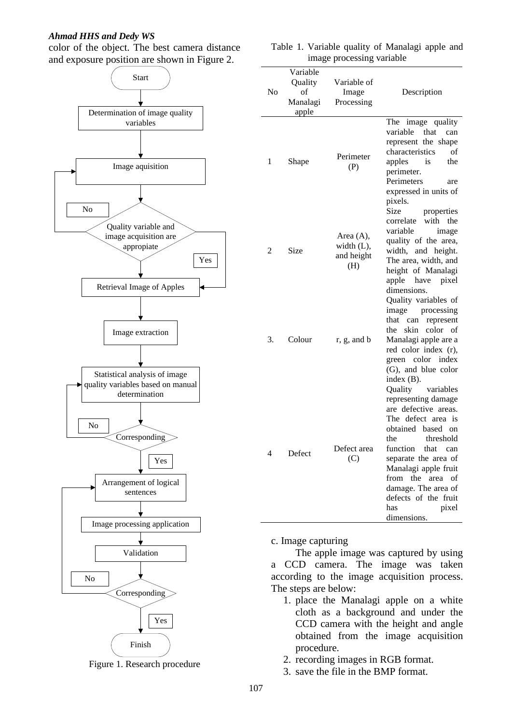## *Ahmad HHS and Dedy WS*

color of the object. The best camera distance and exposure position are shown in Figure 2.





| image processing variable |                                                |                                              |                                                                                                                                                                                                                                                                                                                          |  |  |
|---------------------------|------------------------------------------------|----------------------------------------------|--------------------------------------------------------------------------------------------------------------------------------------------------------------------------------------------------------------------------------------------------------------------------------------------------------------------------|--|--|
| N <sub>0</sub>            | Variable<br>Quality<br>of<br>Manalagi<br>apple | Variable of<br>Image<br>Processing           | Description                                                                                                                                                                                                                                                                                                              |  |  |
| 1                         | Shape                                          | Perimeter<br>(P)                             | The image quality<br>variable<br>that<br>can<br>represent the shape<br>characteristics<br>of<br>apples<br>the<br>is<br>perimeter.<br>Perimeters<br>are<br>expressed in units of<br>pixels.                                                                                                                               |  |  |
| 2                         | Size                                           | Area (A),<br>width (L),<br>and height<br>(H) | Size<br>properties<br>with the<br>correlate<br>variable<br>image<br>quality of the area,<br>width, and height.<br>The area, width, and<br>height of Manalagi<br>apple have pixel<br>dimensions.                                                                                                                          |  |  |
| 3.                        | Colour                                         | r, g, and b                                  | Quality variables of<br>image processing<br>that can<br>represent<br>skin color of<br>the<br>Manalagi apple are a<br>red color index (r),<br>green color index<br>(G), and blue color<br>index $(B)$ .                                                                                                                   |  |  |
| 4                         | Defect                                         | Defect area<br>(C)                           | Quality<br>variables<br>representing damage<br>are defective areas.<br>The defect area is<br>obtained based on<br>the<br>threshold<br>function<br>that<br>can<br>separate the area of<br>Manalagi apple fruit<br>from<br>the<br>area<br>of<br>damage. The area of<br>defects of the fruit<br>has<br>pixel<br>dimensions. |  |  |

#### Table 1. Variable quality of Manalagi apple and image processing variable

c. Image capturing

The apple image was captured by using a CCD camera. The image was taken according to the image acquisition process. The steps are below:

- 1. place the Manalagi apple on a white cloth as a background and under the CCD camera with the height and angle obtained from the image acquisition procedure.
- 2. recording images in RGB format.
- 3. save the file in the BMP format.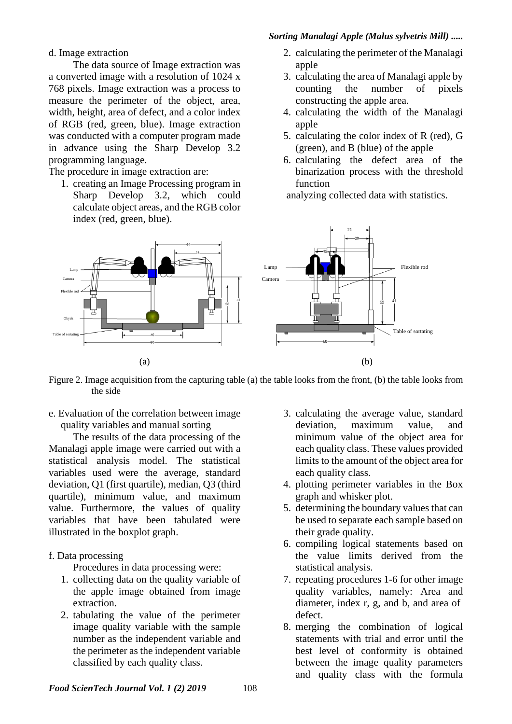# *Sorting Manalagi Apple (Malus sylvetris Mill) .....*

d. Image extraction

The data source of Image extraction was a converted image with a resolution of 1024 x 768 pixels. Image extraction was a process to measure the perimeter of the object, area, width, height, area of defect, and a color index of RGB (red, green, blue). Image extraction was conducted with a computer program made in advance using the Sharp Develop 3.2 programming language.

The procedure in image extraction are:

1. creating an Image Processing program in Sharp Develop 3.2, which could calculate object areas, and the RGB color index (red, green, blue).

- 2. calculating the perimeter of the Manalagi apple
- 3. calculating the area of Manalagi apple by counting the number of pixels constructing the apple area.
- 4. calculating the width of the Manalagi apple
- 5. calculating the color index of R (red), G (green), and B (blue) of the apple
- 6. calculating the defect area of the binarization process with the threshold function

analyzing collected data with statistics.



Figure 2. Image acquisition from the capturing table (a) the table looks from the front, (b) the table looks from the side

e. Evaluation of the correlation between image quality variables and manual sorting

The results of the data processing of the Manalagi apple image were carried out with a statistical analysis model. The statistical variables used were the average, standard deviation, Q1 (first quartile), median, Q3 (third quartile), minimum value, and maximum value. Furthermore, the values of quality variables that have been tabulated were illustrated in the boxplot graph.

## f. Data processing

Procedures in data processing were:

- 1. collecting data on the quality variable of the apple image obtained from image extraction.
- 2. tabulating the value of the perimeter image quality variable with the sample number as the independent variable and the perimeter as the independent variable classified by each quality class.
- 3. calculating the average value, standard deviation, maximum value, and minimum value of the object area for each quality class. These values provided limits to the amount of the object area for each quality class.
- 4. plotting perimeter variables in the Box graph and whisker plot.
- 5. determining the boundary values that can be used to separate each sample based on their grade quality.
- 6. compiling logical statements based on the value limits derived from the statistical analysis.
- 7. repeating procedures 1-6 for other image quality variables, namely: Area and diameter, index r, g, and b, and area of defect.
- 8. merging the combination of logical statements with trial and error until the best level of conformity is obtained between the image quality parameters and quality class with the formula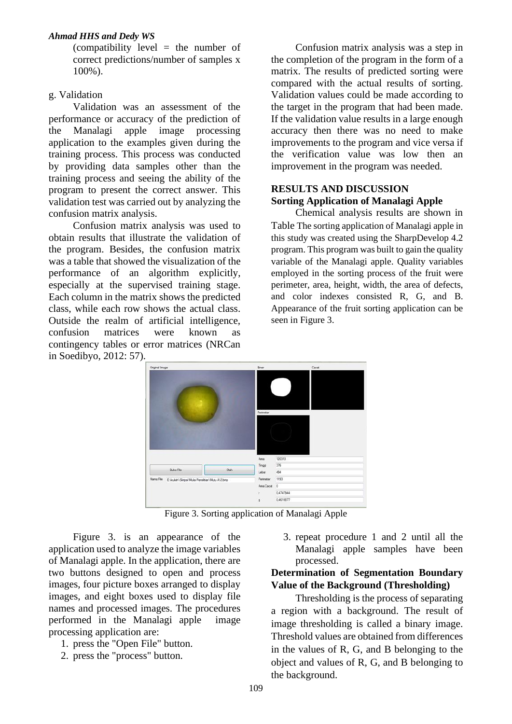## *Ahmad HHS and Dedy WS*

(compatibility level  $=$  the number of correct predictions/number of samples x 100%).

## g. Validation

Validation was an assessment of the performance or accuracy of the prediction of the Manalagi apple image processing application to the examples given during the training process. This process was conducted by providing data samples other than the training process and seeing the ability of the program to present the correct answer. This validation test was carried out by analyzing the confusion matrix analysis.

Confusion matrix analysis was used to obtain results that illustrate the validation of the program. Besides, the confusion matrix was a table that showed the visualization of the performance of an algorithm explicitly, especially at the supervised training stage. Each column in the matrix shows the predicted class, while each row shows the actual class. Outside the realm of artificial intelligence, confusion matrices were known as contingency tables or error matrices (NRCan in Soedibyo, 2012: 57).

Confusion matrix analysis was a step in the completion of the program in the form of a matrix. The results of predicted sorting were compared with the actual results of sorting. Validation values could be made according to the target in the program that had been made. If the validation value results in a large enough accuracy then there was no need to make improvements to the program and vice versa if the verification value was low then an improvement in the program was needed.

# **RESULTS AND DISCUSSION Sorting Application of Manalagi Apple**

Chemical analysis results are shown in Table The sorting application of Manalagi apple in this study was created using the SharpDevelop 4.2 program. This program was built to gain the quality variable of the Manalagi apple. Quality variables employed in the sorting process of the fruit were perimeter, area, height, width, the area of defects, and color indexes consisted R, G, and B. Appearance of the fruit sorting application can be seen in Figure 3.



Figure 3. Sorting application of Manalagi Apple

Figure 3. is an appearance of the application used to analyze the image variables of Manalagi apple. In the application, there are two buttons designed to open and process images, four picture boxes arranged to display images, and eight boxes used to display file names and processed images. The procedures performed in the Manalagi apple image processing application are:

- 1. press the "Open File" button.
- 2. press the "process" button.

3. repeat procedure 1 and 2 until all the Manalagi apple samples have been processed.

## **Determination of Segmentation Boundary Value of the Background (Thresholding)**

Thresholding is the process of separating a region with a background. The result of image thresholding is called a binary image. Threshold values are obtained from differences in the values of R, G, and B belonging to the object and values of R, G, and B belonging to the background.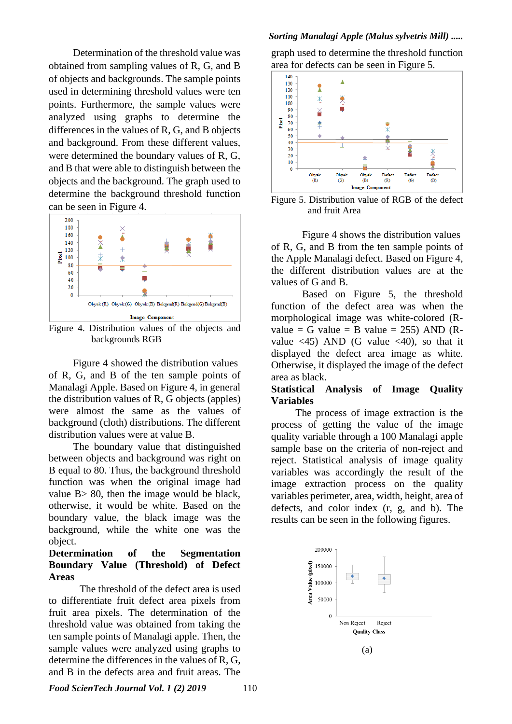Determination of the threshold value was obtained from sampling values of R, G, and B of objects and backgrounds. The sample points used in determining threshold values were ten points. Furthermore, the sample values were analyzed using graphs to determine the differences in the values of R, G, and B objects and background. From these different values, were determined the boundary values of R, G, and B that were able to distinguish between the objects and the background. The graph used to determine the background threshold function can be seen in Figure 4.



Figure 4. Distribution values of the objects and backgrounds RGB

Figure 4 showed the distribution values of R, G, and B of the ten sample points of Manalagi Apple. Based on Figure 4, in general the distribution values of R, G objects (apples) were almost the same as the values of background (cloth) distributions. The different distribution values were at value B.

The boundary value that distinguished between objects and background was right on B equal to 80. Thus, the background threshold function was when the original image had value B> 80, then the image would be black, otherwise, it would be white. Based on the boundary value, the black image was the background, while the white one was the object.

## **Determination of the Segmentation Boundary Value (Threshold) of Defect Areas**

The threshold of the defect area is used to differentiate fruit defect area pixels from fruit area pixels. The determination of the threshold value was obtained from taking the ten sample points of Manalagi apple. Then, the sample values were analyzed using graphs to determine the differences in the values of R, G, and B in the defects area and fruit areas. The

#### *Sorting Manalagi Apple (Malus sylvetris Mill) .....*

graph used to determine the threshold function area for defects can be seen in Figure 5.



Figure 5. Distribution value of RGB of the defect and fruit Area

Figure 4 shows the distribution values of R, G, and B from the ten sample points of the Apple Manalagi defect. Based on Figure 4, the different distribution values are at the values of G and B.

Based on Figure 5, the threshold function of the defect area was when the morphological image was white-colored (Rvalue = G value = B value = 255) AND  $(R$ value  $\langle 45 \rangle$  AND (G value  $\langle 40 \rangle$ , so that it displayed the defect area image as white. Otherwise, it displayed the image of the defect area as black.

## **Statistical Analysis of Image Quality Variables**

The process of image extraction is the process of getting the value of the image quality variable through a 100 Manalagi apple sample base on the criteria of non-reject and reject. Statistical analysis of image quality variables was accordingly the result of the image extraction process on the quality variables perimeter, area, width, height, area of defects, and color index (r, g, and b). The results can be seen in the following figures.

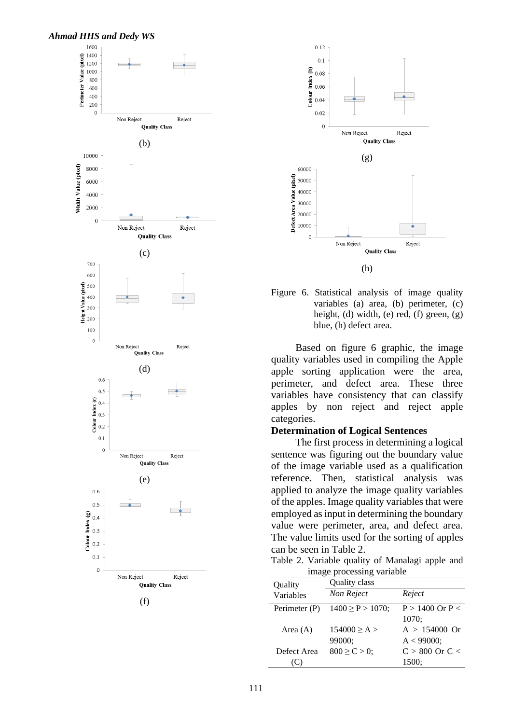



Figure 6. Statistical analysis of image quality variables (a) area, (b) perimeter, (c) height, (d) width, (e) red, (f) green, (g) blue, (h) defect area.

Based on figure 6 graphic, the image quality variables used in compiling the Apple apple sorting application were the area, perimeter, and defect area. These three variables have consistency that can classify apples by non reject and reject apple categories.

#### **Determination of Logical Sentences**

The first process in determining a logical sentence was figuring out the boundary value of the image variable used as a qualification reference. Then, statistical analysis was applied to analyze the image quality variables of the apples. Image quality variables that were employed as input in determining the boundary value were perimeter, area, and defect area. The value limits used for the sorting of apples can be seen in Table 2.

Table 2. Variable quality of Manalagi apple and image processing variable

| Quality       | Quality class         |                     |  |  |  |  |
|---------------|-----------------------|---------------------|--|--|--|--|
| Variables     | Non Reject            | Reject              |  |  |  |  |
| Perimeter (P) | $1400 \ge P > 1070$ ; | $P > 1400$ Or $P <$ |  |  |  |  |
|               |                       | 1070:               |  |  |  |  |
| Area $(A)$    | 154000 > A >          | $A > 154000$ Or     |  |  |  |  |
|               | 99000;                | $A < 99000$ ;       |  |  |  |  |
| Defect Area   | $800 \ge C > 0$ ;     | $C > 800$ Or $C <$  |  |  |  |  |
|               |                       | 1500;               |  |  |  |  |
|               |                       |                     |  |  |  |  |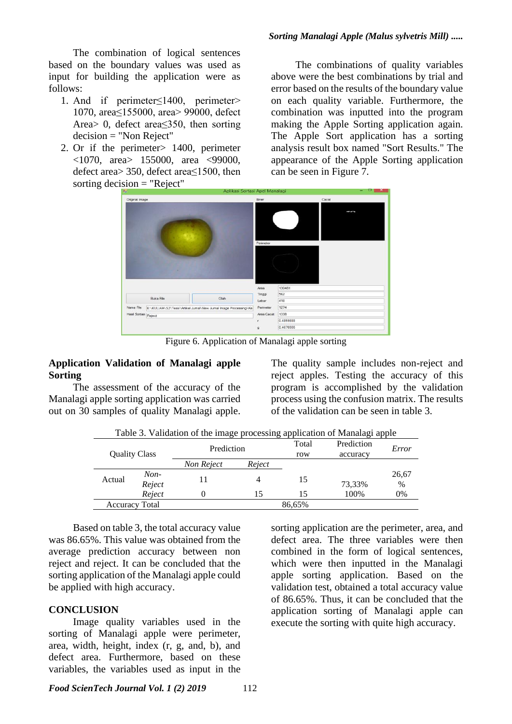The combination of logical sentences based on the boundary values was used as input for building the application were as follows:

- 1. And if perimeter≤1400, perimeter> 1070, area≤155000, area> 99000, defect Area> 0, defect area≤350, then sorting decision = "Non Reject"
- 2. Or if the perimeter> 1400, perimeter <1070, area> 155000, area <99000, defect area> 350, defect area≤1500, then sorting decision = "Reject"

The combinations of quality variables above were the best combinations by trial and error based on the results of the boundary value on each quality variable. Furthermore, the combination was inputted into the program making the Apple Sorting application again. The Apple Sort application has a sorting analysis result box named "Sort Results." The appearance of the Apple Sorting application can be seen in Figure 7.



Figure 6. Application of Manalagi apple sorting

#### **Application Validation of Manalagi apple Sorting**

The assessment of the accuracy of the Manalagi apple sorting application was carried out on 30 samples of quality Manalagi apple.

The quality sample includes non-reject and reject apples. Testing the accuracy of this program is accomplished by the validation process using the confusion matrix. The results of the validation can be seen in table 3.

| Table 3. Validation of the image processing application of Manalagi apple |  |  |
|---------------------------------------------------------------------------|--|--|
|                                                                           |  |  |

| <b>Quality Class</b>  |                  | Prediction |        | Total<br>row | Prediction<br>accuracy | Error         |
|-----------------------|------------------|------------|--------|--------------|------------------------|---------------|
|                       |                  | Non Reject | Reject |              |                        |               |
| Actual                | $Non-$<br>Reject |            |        | 15           | 73,33%                 | 26,67<br>$\%$ |
|                       | Reject           |            | 15     | 15           | 100%                   | 0%            |
| <b>Accuracy Total</b> |                  |            |        | 86,65%       |                        |               |

Based on table 3, the total accuracy value was 86.65%. This value was obtained from the average prediction accuracy between non reject and reject. It can be concluded that the sorting application of the Manalagi apple could be applied with high accuracy.

## **CONCLUSION**

Image quality variables used in the sorting of Manalagi apple were perimeter, area, width, height, index (r, g, and, b), and defect area. Furthermore, based on these variables, the variables used as input in the

sorting application are the perimeter, area, and defect area. The three variables were then combined in the form of logical sentences, which were then inputted in the Manalagi apple sorting application. Based on the validation test, obtained a total accuracy value of 86.65%. Thus, it can be concluded that the application sorting of Manalagi apple can execute the sorting with quite high accuracy.